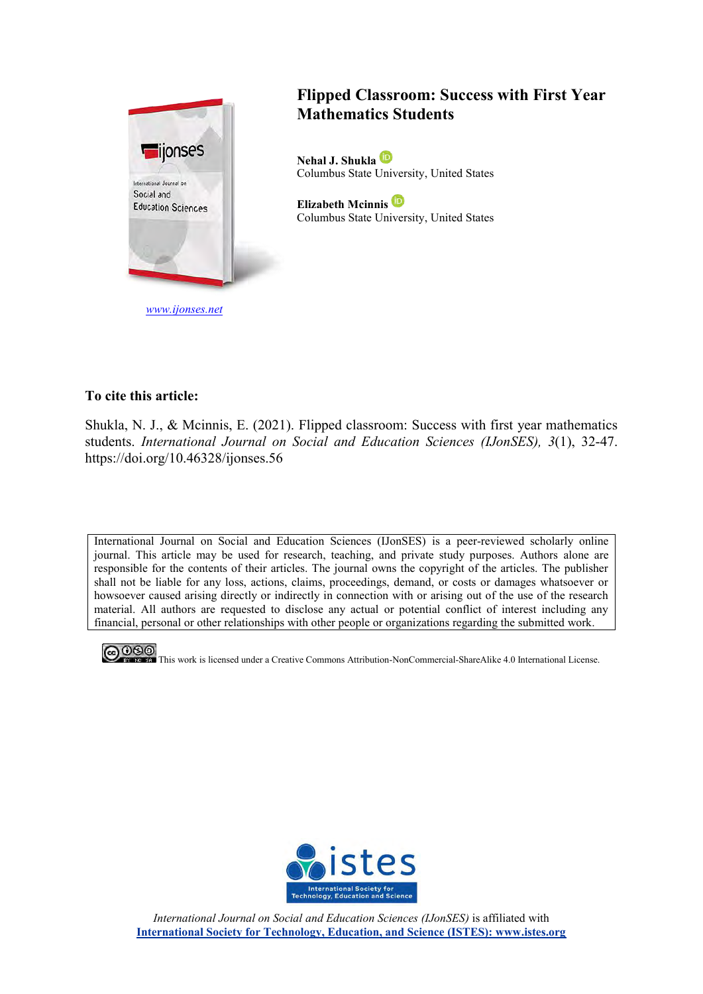

# **Flipped Classroom: Success with First Year Mathematics Students**

**Nehal J. Shukla** Columbus State University, United States

**Elizabeth Mcinnis**  Columbus State University, United States

## **To cite this article:**

Shukla, N. J., & Mcinnis, E. (2021). Flipped classroom: Success with first year mathematics students. *International Journal on Social and Education Sciences (IJonSES), 3*(1), 32-47. https://doi.org/10.46328/ijonses.56

International Journal on Social and Education Sciences (IJonSES) is a peer-reviewed scholarly online journal. This article may be used for research, teaching, and private study purposes. Authors alone are responsible for the contents of their articles. The journal owns the copyright of the articles. The publisher shall not be liable for any loss, actions, claims, proceedings, demand, or costs or damages whatsoever or howsoever caused arising directly or indirectly in connection with or arising out of the use of the research material. All authors are requested to disclose any actual or potential conflict of interest including any financial, personal or other relationships with other people or organizations regarding the submitted work.



**COO**<br>This work is licensed under a Creative Commons Attribution-NonCommercial-ShareAlike 4.0 International License.



*International Journal on Social and Education Sciences (IJonSES)* is affiliated with **International Society for Technology, Education, and Science (ISTES): www.istes.org**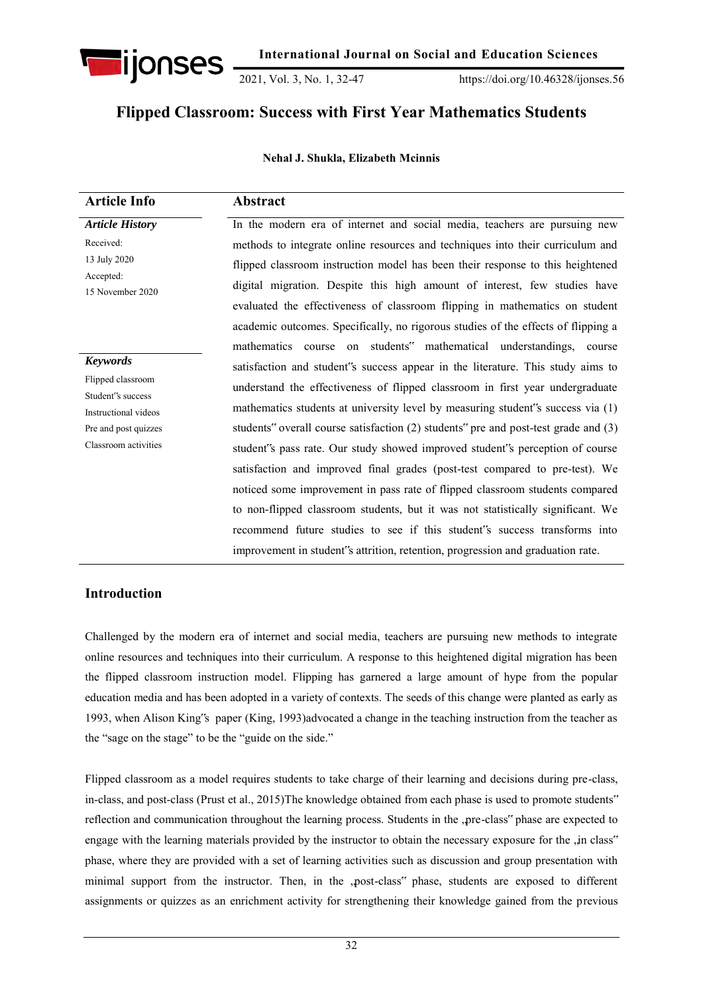

2021, Vol. 3, No. 1, 32-47 https://doi.org/10.46328/ijonses.56

# **Flipped Classroom: Success with First Year Mathematics Students**

#### **Nehal J. Shukla, Elizabeth Mcinnis**

| <b>Article Info</b>                                                                                                               | Abstract                                                                                                                                                                                                                                                                                                                                                                                                                                                                                                                                                                                                                                                                                                                                                                                                                                                                                                                                                                                                  |
|-----------------------------------------------------------------------------------------------------------------------------------|-----------------------------------------------------------------------------------------------------------------------------------------------------------------------------------------------------------------------------------------------------------------------------------------------------------------------------------------------------------------------------------------------------------------------------------------------------------------------------------------------------------------------------------------------------------------------------------------------------------------------------------------------------------------------------------------------------------------------------------------------------------------------------------------------------------------------------------------------------------------------------------------------------------------------------------------------------------------------------------------------------------|
| <b>Article History</b><br>Received:<br>13 July 2020<br>Accepted:<br>15 November 2020                                              | In the modern era of internet and social media, teachers are pursuing new<br>methods to integrate online resources and techniques into their curriculum and<br>flipped classroom instruction model has been their response to this heightened<br>digital migration. Despite this high amount of interest, few studies have<br>evaluated the effectiveness of classroom flipping in mathematics on student                                                                                                                                                                                                                                                                                                                                                                                                                                                                                                                                                                                                 |
| <b>Keywords</b><br>Flipped classroom<br>Student's success<br>Instructional videos<br>Pre and post quizzes<br>Classroom activities | academic outcomes. Specifically, no rigorous studies of the effects of flipping a<br>mathematics course on students" mathematical understandings, course<br>satisfaction and student's success appear in the literature. This study aims to<br>understand the effectiveness of flipped classroom in first year undergraduate<br>mathematics students at university level by measuring student's success via (1)<br>students" overall course satisfaction (2) students" pre and post-test grade and (3)<br>student's pass rate. Our study showed improved student's perception of course<br>satisfaction and improved final grades (post-test compared to pre-test). We<br>noticed some improvement in pass rate of flipped classroom students compared<br>to non-flipped classroom students, but it was not statistically significant. We<br>recommend future studies to see if this student's success transforms into<br>improvement in student's attrition, retention, progression and graduation rate. |

## **Introduction**

Challenged by the modern era of internet and social media, teachers are pursuing new methods to integrate online resources and techniques into their curriculum. A response to this heightened digital migration has been the flipped classroom instruction model. Flipping has garnered a large amount of hype from the popular education media and has been adopted in a variety of contexts. The seeds of this change were planted as early as 1993, when Alison King"s paper (King, 1993)advocated a change in the teaching instruction from the teacher as the "sage on the stage" to be the "guide on the side."

Flipped classroom as a model requires students to take charge of their learning and decisions during pre-class, in-class, and post-class (Prust et al., 2015)The knowledge obtained from each phase is used to promote students" reflection and communication throughout the learning process. Students in the ,pre-class" phase are expected to engage with the learning materials provided by the instructor to obtain the necessary exposure for the "in class" phase, where they are provided with a set of learning activities such as discussion and group presentation with minimal support from the instructor. Then, in the ,post-class" phase, students are exposed to different assignments or quizzes as an enrichment activity for strengthening their knowledge gained from the previous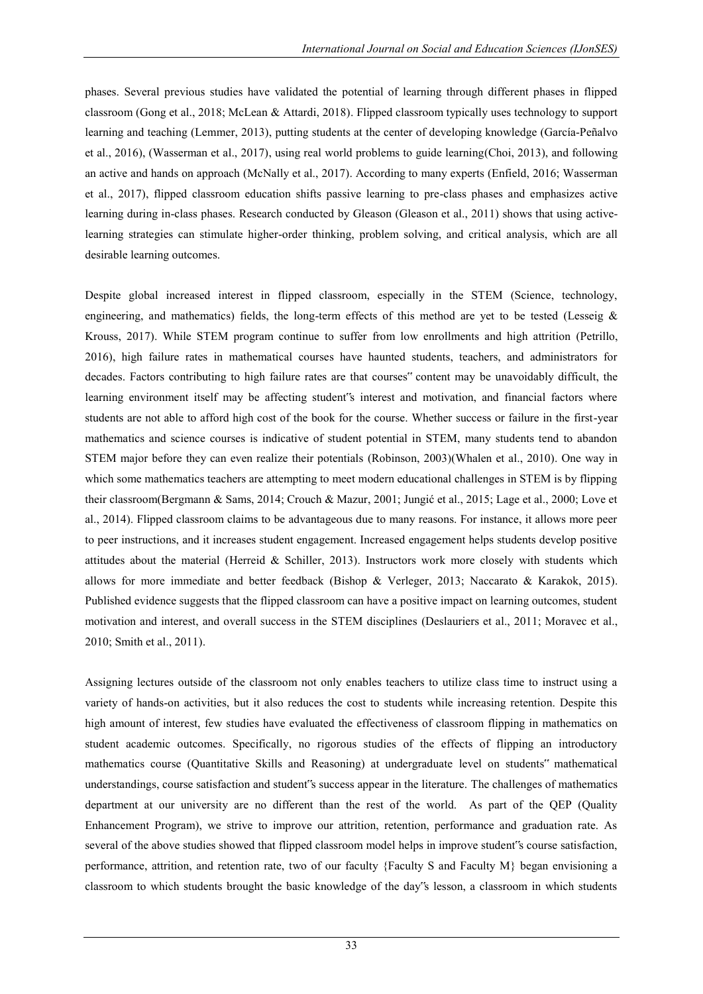phases. Several previous studies have validated the potential of learning through different phases in flipped classroom (Gong et al., 2018; McLean & Attardi, 2018). Flipped classroom typically uses technology to support learning and teaching (Lemmer, 2013), putting students at the center of developing knowledge (García-Peñalvo et al., 2016), (Wasserman et al., 2017), using real world problems to guide learning(Choi, 2013), and following an active and hands on approach (McNally et al., 2017). According to many experts (Enfield, 2016; Wasserman et al., 2017), flipped classroom education shifts passive learning to pre-class phases and emphasizes active learning during in-class phases. Research conducted by Gleason (Gleason et al., 2011) shows that using activelearning strategies can stimulate higher-order thinking, problem solving, and critical analysis, which are all desirable learning outcomes.

Despite global increased interest in flipped classroom, especially in the STEM (Science, technology, engineering, and mathematics) fields, the long-term effects of this method are yet to be tested (Lesseig  $\&$ Krouss, 2017). While STEM program continue to suffer from low enrollments and high attrition (Petrillo, 2016), high failure rates in mathematical courses have haunted students, teachers, and administrators for decades. Factors contributing to high failure rates are that courses" content may be unavoidably difficult, the learning environment itself may be affecting student"s interest and motivation, and financial factors where students are not able to afford high cost of the book for the course. Whether success or failure in the first-year mathematics and science courses is indicative of student potential in STEM, many students tend to abandon STEM major before they can even realize their potentials (Robinson, 2003)(Whalen et al., 2010). One way in which some mathematics teachers are attempting to meet modern educational challenges in STEM is by flipping their classroom(Bergmann & Sams, 2014; Crouch & Mazur, 2001; Jungić et al., 2015; Lage et al., 2000; Love et al., 2014). Flipped classroom claims to be advantageous due to many reasons. For instance, it allows more peer to peer instructions, and it increases student engagement. Increased engagement helps students develop positive attitudes about the material (Herreid & Schiller, 2013). Instructors work more closely with students which allows for more immediate and better feedback (Bishop & Verleger, 2013; Naccarato & Karakok, 2015). Published evidence suggests that the flipped classroom can have a positive impact on learning outcomes, student motivation and interest, and overall success in the STEM disciplines (Deslauriers et al., 2011; Moravec et al., 2010; Smith et al., 2011).

Assigning lectures outside of the classroom not only enables teachers to utilize class time to instruct using a variety of hands-on activities, but it also reduces the cost to students while increasing retention. Despite this high amount of interest, few studies have evaluated the effectiveness of classroom flipping in mathematics on student academic outcomes. Specifically, no rigorous studies of the effects of flipping an introductory mathematics course (Quantitative Skills and Reasoning) at undergraduate level on students" mathematical understandings, course satisfaction and student"s success appear in the literature. The challenges of mathematics department at our university are no different than the rest of the world. As part of the QEP (Quality Enhancement Program), we strive to improve our attrition, retention, performance and graduation rate. As several of the above studies showed that flipped classroom model helps in improve student"s course satisfaction, performance, attrition, and retention rate, two of our faculty {Faculty S and Faculty M} began envisioning a classroom to which students brought the basic knowledge of the day"s lesson, a classroom in which students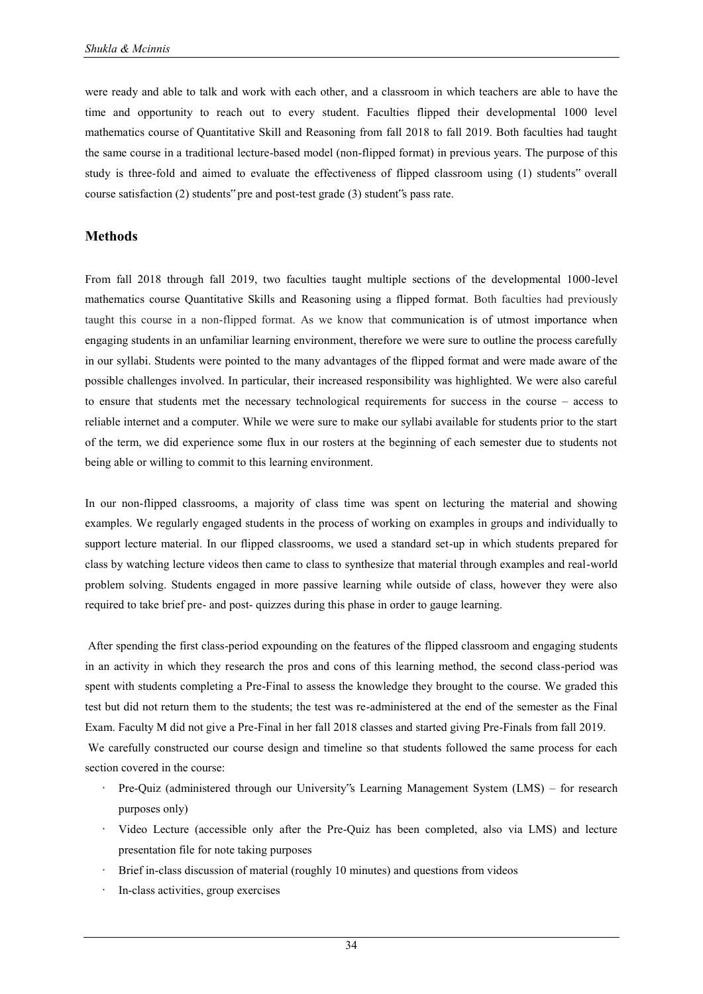were ready and able to talk and work with each other, and a classroom in which teachers are able to have the time and opportunity to reach out to every student. Faculties flipped their developmental 1000 level mathematics course of Quantitative Skill and Reasoning from fall 2018 to fall 2019. Both faculties had taught the same course in a traditional lecture-based model (non-flipped format) in previous years. The purpose of this study is three-fold and aimed to evaluate the effectiveness of flipped classroom using (1) students" overall course satisfaction (2) students" pre and post-test grade (3) student"s pass rate.

## **Methods**

From fall 2018 through fall 2019, two faculties taught multiple sections of the developmental 1000-level mathematics course Quantitative Skills and Reasoning using a flipped format. Both faculties had previously taught this course in a non-flipped format. As we know that communication is of utmost importance when engaging students in an unfamiliar learning environment, therefore we were sure to outline the process carefully in our syllabi. Students were pointed to the many advantages of the flipped format and were made aware of the possible challenges involved. In particular, their increased responsibility was highlighted. We were also careful to ensure that students met the necessary technological requirements for success in the course – access to reliable internet and a computer. While we were sure to make our syllabi available for students prior to the start of the term, we did experience some flux in our rosters at the beginning of each semester due to students not being able or willing to commit to this learning environment.

In our non-flipped classrooms, a majority of class time was spent on lecturing the material and showing examples. We regularly engaged students in the process of working on examples in groups and individually to support lecture material. In our flipped classrooms, we used a standard set-up in which students prepared for class by watching lecture videos then came to class to synthesize that material through examples and real-world problem solving. Students engaged in more passive learning while outside of class, however they were also required to take brief pre- and post- quizzes during this phase in order to gauge learning.

After spending the first class-period expounding on the features of the flipped classroom and engaging students in an activity in which they research the pros and cons of this learning method, the second class-period was spent with students completing a Pre-Final to assess the knowledge they brought to the course. We graded this test but did not return them to the students; the test was re-administered at the end of the semester as the Final Exam. Faculty M did not give a Pre-Final in her fall 2018 classes and started giving Pre-Finals from fall 2019.

 We carefully constructed our course design and timeline so that students followed the same process for each section covered in the course:

- · Pre-Quiz (administered through our University"s Learning Management System (LMS) for research purposes only)
- · Video Lecture (accessible only after the Pre-Quiz has been completed, also via LMS) and lecture presentation file for note taking purposes
- Brief in-class discussion of material (roughly 10 minutes) and questions from videos
- In-class activities, group exercises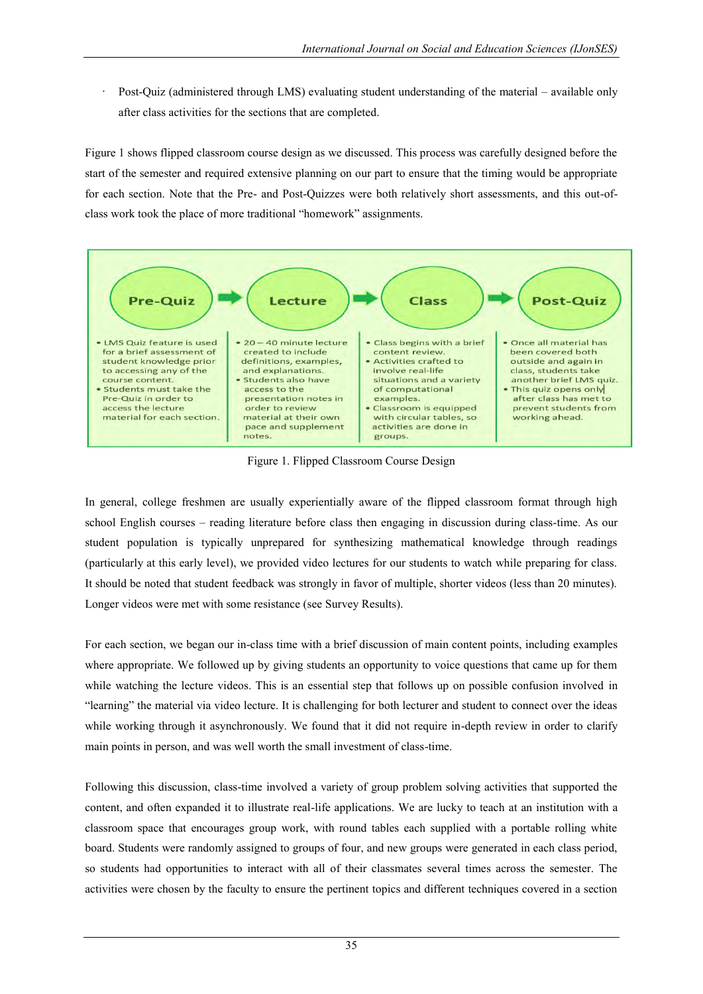Post-Quiz (administered through LMS) evaluating student understanding of the material – available only after class activities for the sections that are completed.

Figure 1 shows flipped classroom course design as we discussed. This process was carefully designed before the start of the semester and required extensive planning on our part to ensure that the timing would be appropriate for each section. Note that the Pre- and Post-Quizzes were both relatively short assessments, and this out-ofclass work took the place of more traditional "homework" assignments.



Figure 1. Flipped Classroom Course Design

In general, college freshmen are usually experientially aware of the flipped classroom format through high school English courses – reading literature before class then engaging in discussion during class-time. As our student population is typically unprepared for synthesizing mathematical knowledge through readings (particularly at this early level), we provided video lectures for our students to watch while preparing for class. It should be noted that student feedback was strongly in favor of multiple, shorter videos (less than 20 minutes). Longer videos were met with some resistance (see Survey Results).

For each section, we began our in-class time with a brief discussion of main content points, including examples where appropriate. We followed up by giving students an opportunity to voice questions that came up for them while watching the lecture videos. This is an essential step that follows up on possible confusion involved in "learning" the material via video lecture. It is challenging for both lecturer and student to connect over the ideas while working through it asynchronously. We found that it did not require in-depth review in order to clarify main points in person, and was well worth the small investment of class-time.

Following this discussion, class-time involved a variety of group problem solving activities that supported the content, and often expanded it to illustrate real-life applications. We are lucky to teach at an institution with a classroom space that encourages group work, with round tables each supplied with a portable rolling white board. Students were randomly assigned to groups of four, and new groups were generated in each class period, so students had opportunities to interact with all of their classmates several times across the semester. The activities were chosen by the faculty to ensure the pertinent topics and different techniques covered in a section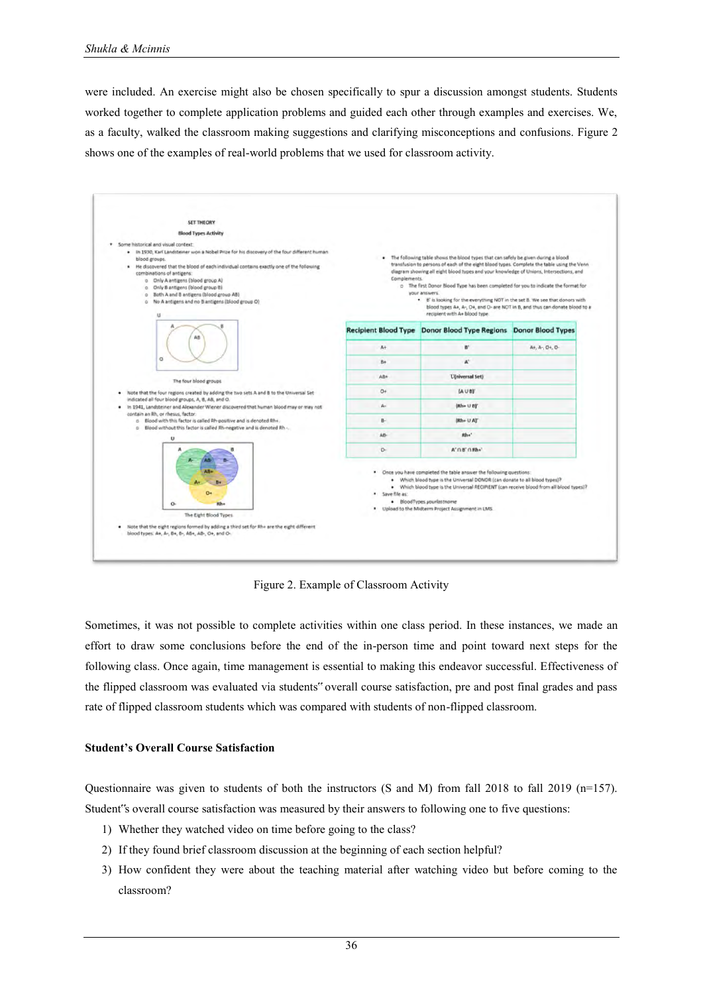were included. An exercise might also be chosen specifically to spur a discussion amongst students. Students worked together to complete application problems and guided each other through examples and exercises. We, as a faculty, walked the classroom making suggestions and clarifying misconceptions and confusions. Figure 2 shows one of the examples of real-world problems that we used for classroom activity.



Figure 2. Example of Classroom Activity

Sometimes, it was not possible to complete activities within one class period. In these instances, we made an effort to draw some conclusions before the end of the in-person time and point toward next steps for the following class. Once again, time management is essential to making this endeavor successful. Effectiveness of the flipped classroom was evaluated via students" overall course satisfaction, pre and post final grades and pass rate of flipped classroom students which was compared with students of non-flipped classroom.

## **Student's Overall Course Satisfaction**

Questionnaire was given to students of both the instructors (S and M) from fall 2018 to fall 2019 (n=157). Student"s overall course satisfaction was measured by their answers to following one to five questions:

- 1) Whether they watched video on time before going to the class?
- 2) If they found brief classroom discussion at the beginning of each section helpful?
- 3) How confident they were about the teaching material after watching video but before coming to the classroom?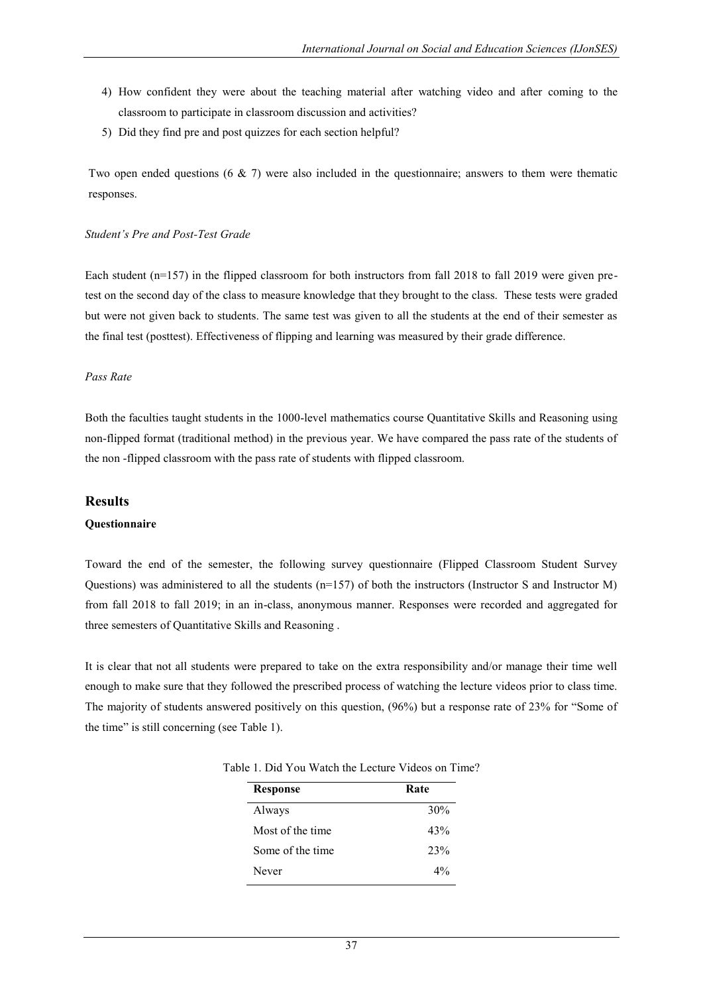- 4) How confident they were about the teaching material after watching video and after coming to the classroom to participate in classroom discussion and activities?
- 5) Did they find pre and post quizzes for each section helpful?

Two open ended questions (6 & 7) were also included in the questionnaire; answers to them were thematic responses.

#### *Student's Pre and Post-Test Grade*

Each student (n=157) in the flipped classroom for both instructors from fall 2018 to fall 2019 were given pretest on the second day of the class to measure knowledge that they brought to the class. These tests were graded but were not given back to students. The same test was given to all the students at the end of their semester as the final test (posttest). Effectiveness of flipping and learning was measured by their grade difference.

#### *Pass Rate*

Both the faculties taught students in the 1000-level mathematics course Quantitative Skills and Reasoning using non-flipped format (traditional method) in the previous year. We have compared the pass rate of the students of the non -flipped classroom with the pass rate of students with flipped classroom.

#### **Results**

#### **Questionnaire**

Toward the end of the semester, the following survey questionnaire (Flipped Classroom Student Survey Questions) was administered to all the students (n=157) of both the instructors (Instructor S and Instructor M) from fall 2018 to fall 2019; in an in-class, anonymous manner. Responses were recorded and aggregated for three semesters of Quantitative Skills and Reasoning .

It is clear that not all students were prepared to take on the extra responsibility and/or manage their time well enough to make sure that they followed the prescribed process of watching the lecture videos prior to class time. The majority of students answered positively on this question, (96%) but a response rate of 23% for "Some of the time" is still concerning (see Table 1).

| <b>Response</b>  | Rate  |  |  |
|------------------|-------|--|--|
| Always           | 30%   |  |  |
| Most of the time | 43%   |  |  |
| Some of the time | 23%   |  |  |
| Never            | $4\%$ |  |  |

Table 1. Did You Watch the Lecture Videos on Time?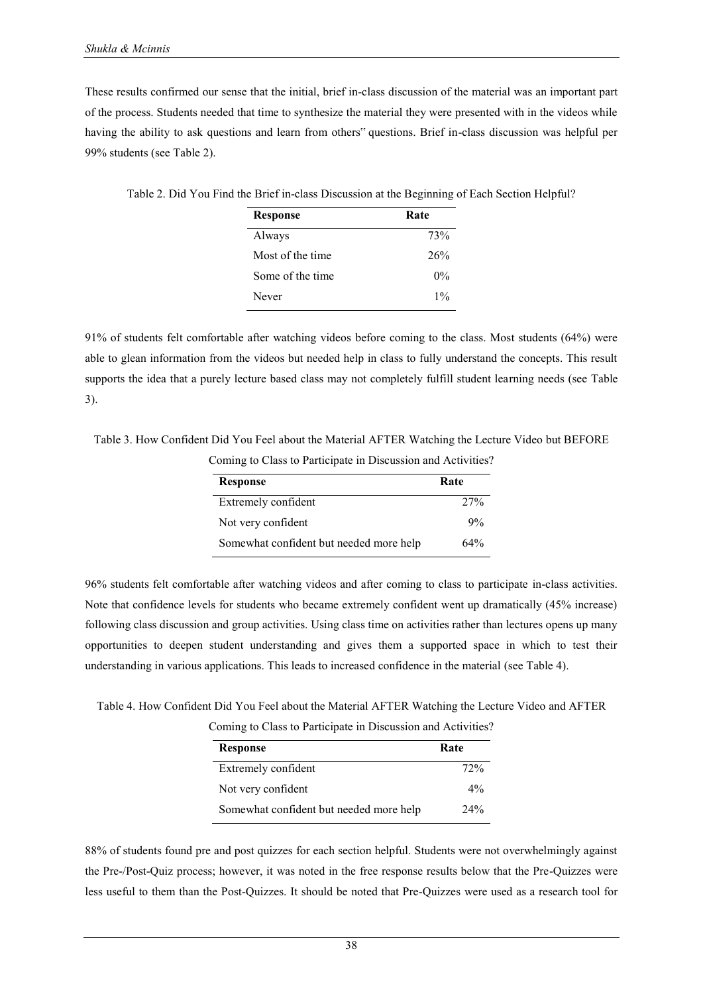These results confirmed our sense that the initial, brief in-class discussion of the material was an important part of the process. Students needed that time to synthesize the material they were presented with in the videos while having the ability to ask questions and learn from others" questions. Brief in-class discussion was helpful per 99% students (see Table 2).

| Table 2. Did You Find the Brief in-class Discussion at the Beginning of Each Section Helpful? |  |  |
|-----------------------------------------------------------------------------------------------|--|--|
|                                                                                               |  |  |

| <b>Response</b>  | Rate  |
|------------------|-------|
| Always           | 73%   |
| Most of the time | 26%   |
| Some of the time | $0\%$ |
| Never            | $1\%$ |

91% of students felt comfortable after watching videos before coming to the class. Most students (64%) were able to glean information from the videos but needed help in class to fully understand the concepts. This result supports the idea that a purely lecture based class may not completely fulfill student learning needs (see Table 3).

Table 3. How Confident Did You Feel about the Material AFTER Watching the Lecture Video but BEFORE

Coming to Class to Participate in Discussion and Activities?

| <b>Response</b>                         | Rate |
|-----------------------------------------|------|
| Extremely confident                     | 27%  |
| Not very confident                      | 9%   |
| Somewhat confident but needed more help | 64%  |

96% students felt comfortable after watching videos and after coming to class to participate in-class activities. Note that confidence levels for students who became extremely confident went up dramatically (45% increase) following class discussion and group activities. Using class time on activities rather than lectures opens up many opportunities to deepen student understanding and gives them a supported space in which to test their understanding in various applications. This leads to increased confidence in the material (see Table 4).

Table 4. How Confident Did You Feel about the Material AFTER Watching the Lecture Video and AFTER

Coming to Class to Participate in Discussion and Activities?

| <b>Response</b>                         | Rate  |
|-----------------------------------------|-------|
| Extremely confident                     | 72%   |
| Not very confident                      | $4\%$ |
| Somewhat confident but needed more help | 24%   |

88% of students found pre and post quizzes for each section helpful. Students were not overwhelmingly against the Pre-/Post-Quiz process; however, it was noted in the free response results below that the Pre-Quizzes were less useful to them than the Post-Quizzes. It should be noted that Pre-Quizzes were used as a research tool for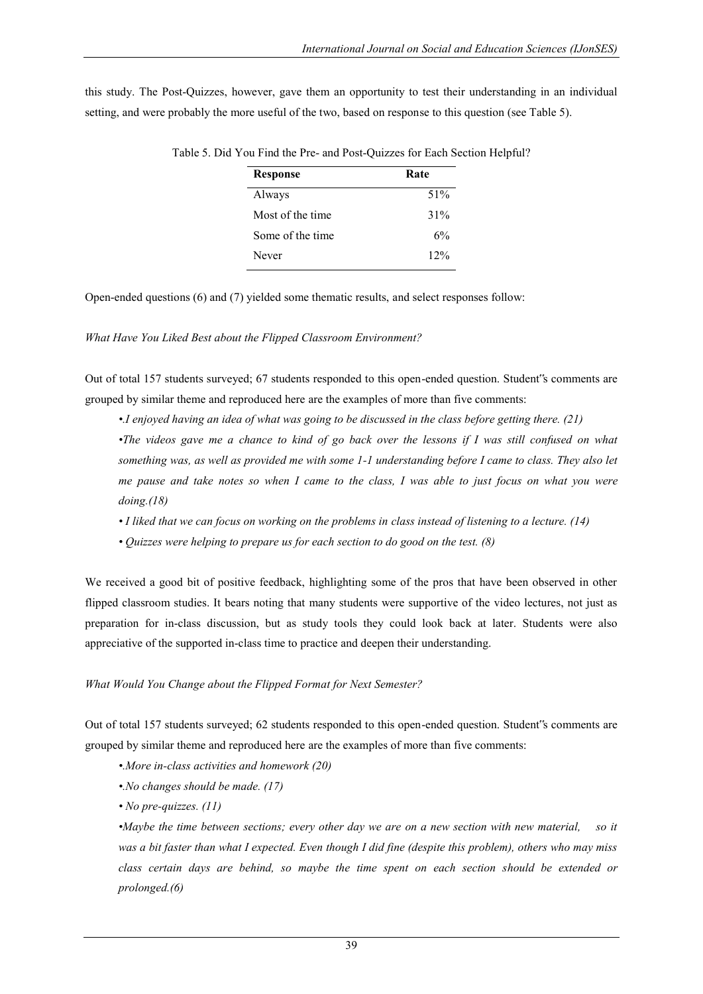this study. The Post-Quizzes, however, gave them an opportunity to test their understanding in an individual setting, and were probably the more useful of the two, based on response to this question (see Table 5).

| <b>Response</b>  | Rate |  |  |  |
|------------------|------|--|--|--|
| Always           | 51%  |  |  |  |
| Most of the time | 31%  |  |  |  |
| Some of the time | 6%   |  |  |  |
| Never            | 12%  |  |  |  |

Table 5. Did You Find the Pre- and Post-Quizzes for Each Section Helpful?

Open-ended questions (6) and (7) yielded some thematic results, and select responses follow:

*What Have You Liked Best about the Flipped Classroom Environment?* 

Out of total 157 students surveyed; 67 students responded to this open-ended question. Student"s comments are grouped by similar theme and reproduced here are the examples of more than five comments:

*•.I enjoyed having an idea of what was going to be discussed in the class before getting there. (21)* 

*•The videos gave me a chance to kind of go back over the lessons if I was still confused on what something was, as well as provided me with some 1-1 understanding before I came to class. They also let me pause and take notes so when I came to the class, I was able to just focus on what you were doing.(18)* 

- *I liked that we can focus on working on the problems in class instead of listening to a lecture. (14)*
- *Quizzes were helping to prepare us for each section to do good on the test. (8)*

We received a good bit of positive feedback, highlighting some of the pros that have been observed in other flipped classroom studies. It bears noting that many students were supportive of the video lectures, not just as preparation for in-class discussion, but as study tools they could look back at later. Students were also appreciative of the supported in-class time to practice and deepen their understanding.

## *What Would You Change about the Flipped Format for Next Semester?*

Out of total 157 students surveyed; 62 students responded to this open-ended question. Student"s comments are grouped by similar theme and reproduced here are the examples of more than five comments:

- *•.More in-class activities and homework (20)*
- *•.No changes should be made. (17)*
- *No pre-quizzes. (11)*

*•Maybe the time between sections; every other day we are on a new section with new material, so it was a bit faster than what I expected. Even though I did fine (despite this problem), others who may miss class certain days are behind, so maybe the time spent on each section should be extended or prolonged.(6)*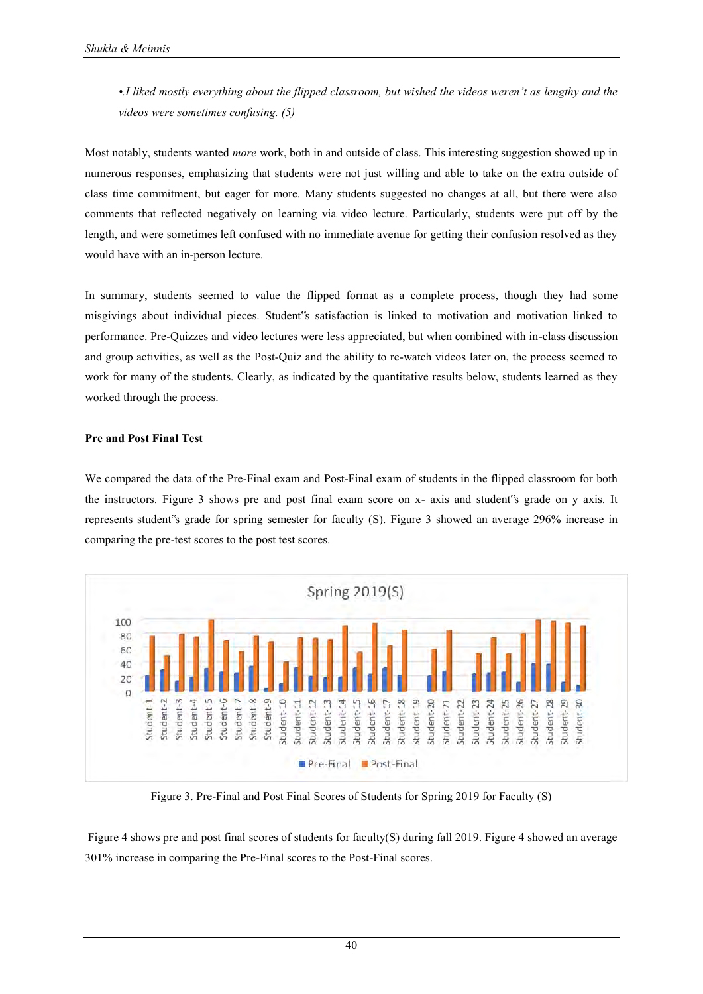*•.I liked mostly everything about the flipped classroom, but wished the videos weren't as lengthy and the videos were sometimes confusing. (5)* 

Most notably, students wanted *more* work, both in and outside of class. This interesting suggestion showed up in numerous responses, emphasizing that students were not just willing and able to take on the extra outside of class time commitment, but eager for more. Many students suggested no changes at all, but there were also comments that reflected negatively on learning via video lecture. Particularly, students were put off by the length, and were sometimes left confused with no immediate avenue for getting their confusion resolved as they would have with an in-person lecture.

In summary, students seemed to value the flipped format as a complete process, though they had some misgivings about individual pieces. Student"s satisfaction is linked to motivation and motivation linked to performance. Pre-Quizzes and video lectures were less appreciated, but when combined with in-class discussion and group activities, as well as the Post-Quiz and the ability to re-watch videos later on, the process seemed to work for many of the students. Clearly, as indicated by the quantitative results below, students learned as they worked through the process.

## **Pre and Post Final Test**

We compared the data of the Pre-Final exam and Post-Final exam of students in the flipped classroom for both the instructors. Figure 3 shows pre and post final exam score on x- axis and student"s grade on y axis. It represents student"s grade for spring semester for faculty (S). Figure 3 showed an average 296% increase in comparing the pre-test scores to the post test scores.



Figure 3. Pre-Final and Post Final Scores of Students for Spring 2019 for Faculty (S)

 Figure 4 shows pre and post final scores of students for faculty(S) during fall 2019. Figure 4 showed an average 301% increase in comparing the Pre-Final scores to the Post-Final scores.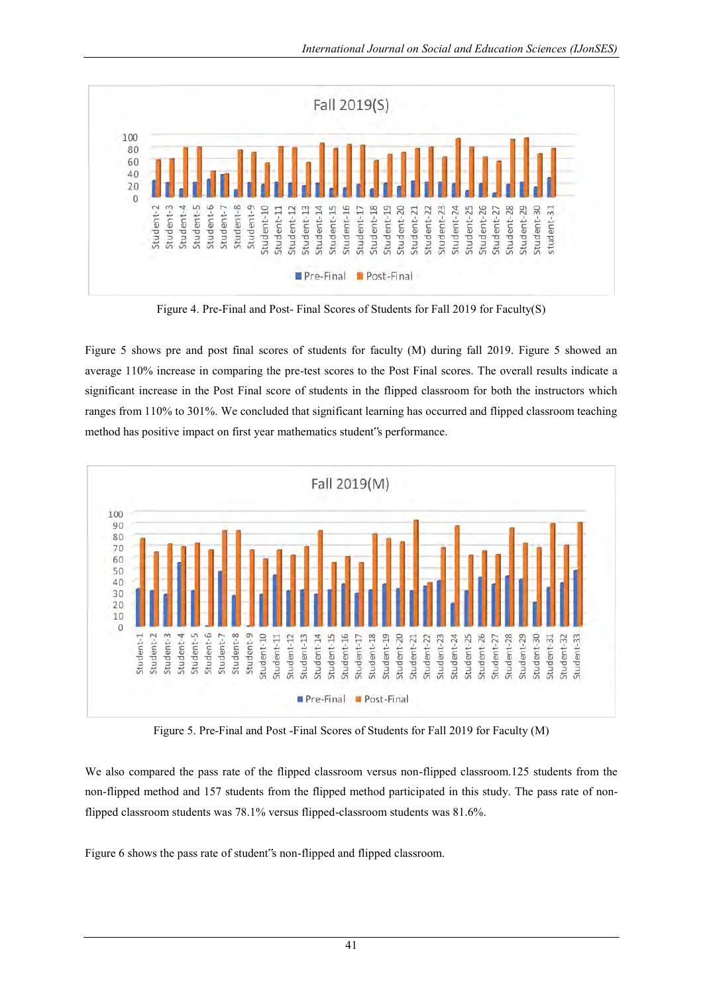

Figure 4. Pre-Final and Post- Final Scores of Students for Fall 2019 for Faculty(S)

Figure 5 shows pre and post final scores of students for faculty (M) during fall 2019. Figure 5 showed an average 110% increase in comparing the pre-test scores to the Post Final scores. The overall results indicate a significant increase in the Post Final score of students in the flipped classroom for both the instructors which ranges from 110% to 301%. We concluded that significant learning has occurred and flipped classroom teaching method has positive impact on first year mathematics student"s performance.



Figure 5. Pre-Final and Post -Final Scores of Students for Fall 2019 for Faculty (M)

We also compared the pass rate of the flipped classroom versus non-flipped classroom.125 students from the non-flipped method and 157 students from the flipped method participated in this study. The pass rate of nonflipped classroom students was 78.1% versus flipped-classroom students was 81.6%.

Figure 6 shows the pass rate of student"s non-flipped and flipped classroom.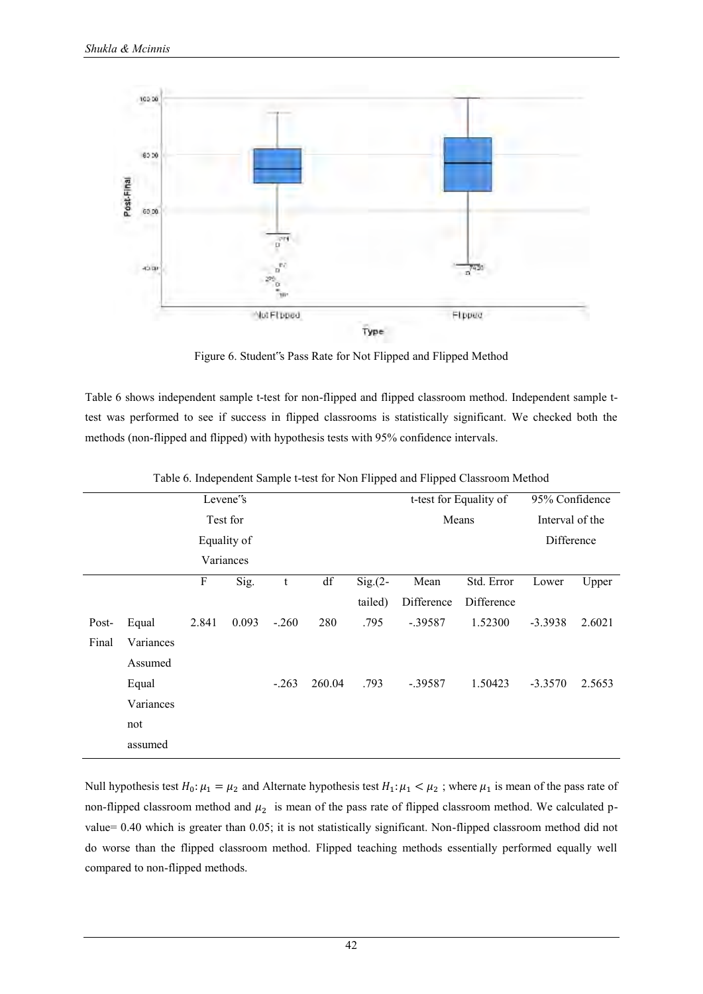

Figure 6. Student"s Pass Rate for Not Flipped and Flipped Method

Table 6 shows independent sample t-test for non-flipped and flipped classroom method. Independent sample ttest was performed to see if success in flipped classrooms is statistically significant. We checked both the methods (non-flipped and flipped) with hypothesis tests with 95% confidence intervals.

| Levene's<br>Test for |           |       |           |             |        |                        | t-test for Equality of<br>Means |                          | 95% Confidence<br>Interval of the |        |
|----------------------|-----------|-------|-----------|-------------|--------|------------------------|---------------------------------|--------------------------|-----------------------------------|--------|
| Equality of          |           |       |           |             |        |                        |                                 | Difference               |                                   |        |
|                      |           |       | Variances |             |        |                        |                                 |                          |                                   |        |
|                      |           | F     | Sig.      | $\mathbf t$ | df     | $Sig(2 - )$<br>tailed) | Mean<br>Difference              | Std. Error<br>Difference | Lower                             | Upper  |
| Post-                | Equal     | 2.841 | 0.093     | $-.260$     | 280    | .795                   | $-.39587$                       | 1.52300                  | $-3.3938$                         | 2.6021 |
| Final                | Variances |       |           |             |        |                        |                                 |                          |                                   |        |
|                      | Assumed   |       |           |             |        |                        |                                 |                          |                                   |        |
|                      | Equal     |       |           | $-.263$     | 260.04 | .793                   | $-.39587$                       | 1.50423                  | $-3.3570$                         | 2.5653 |
|                      | Variances |       |           |             |        |                        |                                 |                          |                                   |        |
|                      | not       |       |           |             |        |                        |                                 |                          |                                   |        |
|                      | assumed   |       |           |             |        |                        |                                 |                          |                                   |        |

Table 6. Independent Sample t-test for Non Flipped and Flipped Classroom Method

Null hypothesis test  $H_0: \mu_1 = \mu_2$  and Alternate hypothesis test  $H_1: \mu_1 < \mu_2$ ; where  $\mu_1$  is mean of the pass rate of non-flipped classroom method and  $\mu_2$  is mean of the pass rate of flipped classroom method. We calculated pvalue= 0.40 which is greater than 0.05; it is not statistically significant. Non-flipped classroom method did not do worse than the flipped classroom method. Flipped teaching methods essentially performed equally well compared to non-flipped methods.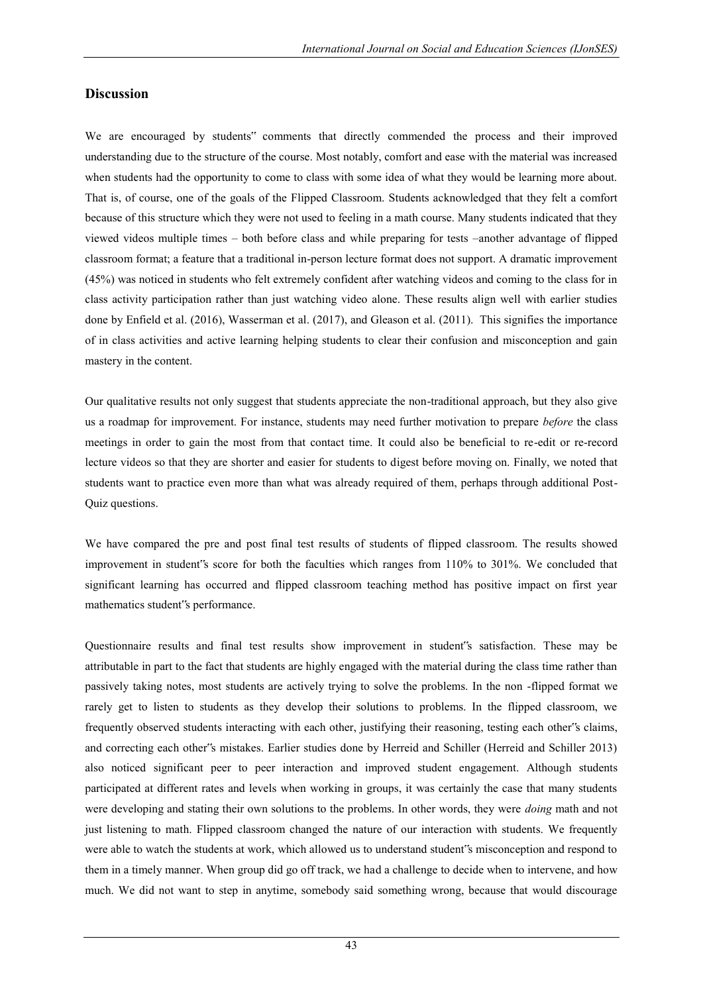## **Discussion**

We are encouraged by students" comments that directly commended the process and their improved understanding due to the structure of the course. Most notably, comfort and ease with the material was increased when students had the opportunity to come to class with some idea of what they would be learning more about. That is, of course, one of the goals of the Flipped Classroom. Students acknowledged that they felt a comfort because of this structure which they were not used to feeling in a math course. Many students indicated that they viewed videos multiple times – both before class and while preparing for tests –another advantage of flipped classroom format; a feature that a traditional in-person lecture format does not support. A dramatic improvement (45%) was noticed in students who felt extremely confident after watching videos and coming to the class for in class activity participation rather than just watching video alone. These results align well with earlier studies done by Enfield et al. (2016), Wasserman et al. (2017), and Gleason et al. (2011). This signifies the importance of in class activities and active learning helping students to clear their confusion and misconception and gain mastery in the content.

Our qualitative results not only suggest that students appreciate the non-traditional approach, but they also give us a roadmap for improvement. For instance, students may need further motivation to prepare *before* the class meetings in order to gain the most from that contact time. It could also be beneficial to re-edit or re-record lecture videos so that they are shorter and easier for students to digest before moving on. Finally, we noted that students want to practice even more than what was already required of them, perhaps through additional Post-Quiz questions.

We have compared the pre and post final test results of students of flipped classroom. The results showed improvement in student"s score for both the faculties which ranges from 110% to 301%. We concluded that significant learning has occurred and flipped classroom teaching method has positive impact on first year mathematics student"s performance.

Questionnaire results and final test results show improvement in student"s satisfaction. These may be attributable in part to the fact that students are highly engaged with the material during the class time rather than passively taking notes, most students are actively trying to solve the problems. In the non -flipped format we rarely get to listen to students as they develop their solutions to problems. In the flipped classroom, we frequently observed students interacting with each other, justifying their reasoning, testing each other"s claims, and correcting each other"s mistakes. Earlier studies done by Herreid and Schiller (Herreid and Schiller 2013) also noticed significant peer to peer interaction and improved student engagement. Although students participated at different rates and levels when working in groups, it was certainly the case that many students were developing and stating their own solutions to the problems. In other words, they were *doing* math and not just listening to math. Flipped classroom changed the nature of our interaction with students. We frequently were able to watch the students at work, which allowed us to understand student"s misconception and respond to them in a timely manner. When group did go off track, we had a challenge to decide when to intervene, and how much. We did not want to step in anytime, somebody said something wrong, because that would discourage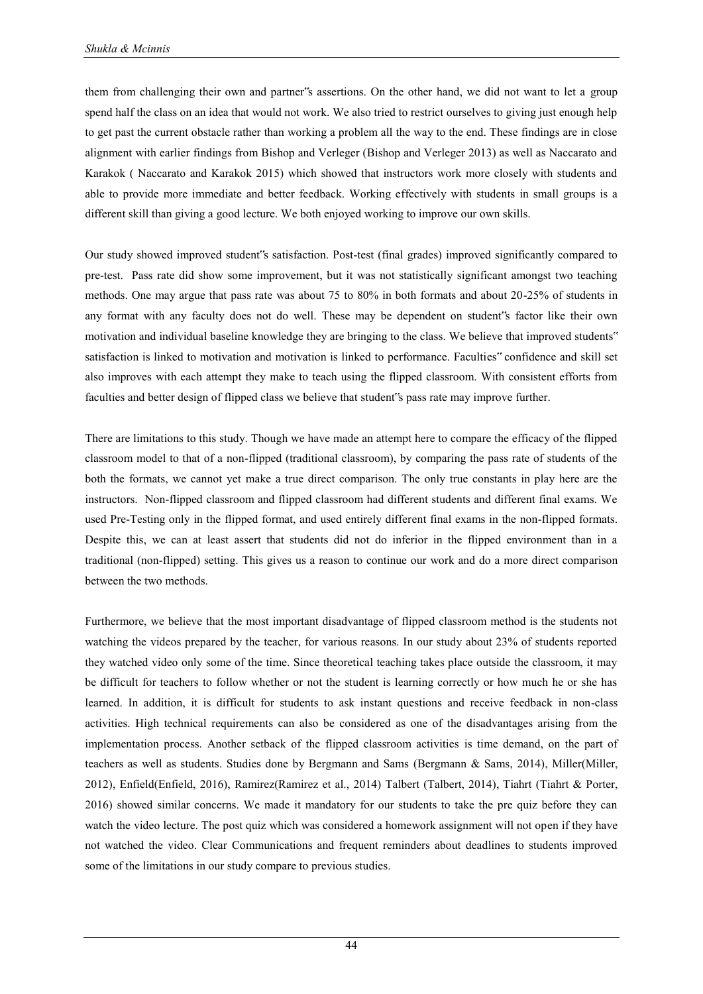them from challenging their own and partner"s assertions. On the other hand, we did not want to let a group spend half the class on an idea that would not work. We also tried to restrict ourselves to giving just enough help to get past the current obstacle rather than working a problem all the way to the end. These findings are in close alignment with earlier findings from Bishop and Verleger (Bishop and Verleger 2013) as well as Naccarato and Karakok ( Naccarato and Karakok 2015) which showed that instructors work more closely with students and able to provide more immediate and better feedback. Working effectively with students in small groups is a different skill than giving a good lecture. We both enjoyed working to improve our own skills.

Our study showed improved student"s satisfaction. Post-test (final grades) improved significantly compared to pre-test. Pass rate did show some improvement, but it was not statistically significant amongst two teaching methods. One may argue that pass rate was about 75 to 80% in both formats and about 20-25% of students in any format with any faculty does not do well. These may be dependent on student"s factor like their own motivation and individual baseline knowledge they are bringing to the class. We believe that improved students" satisfaction is linked to motivation and motivation is linked to performance. Faculties" confidence and skill set also improves with each attempt they make to teach using the flipped classroom. With consistent efforts from faculties and better design of flipped class we believe that student"s pass rate may improve further.

There are limitations to this study. Though we have made an attempt here to compare the efficacy of the flipped classroom model to that of a non-flipped (traditional classroom), by comparing the pass rate of students of the both the formats, we cannot yet make a true direct comparison. The only true constants in play here are the instructors. Non-flipped classroom and flipped classroom had different students and different final exams. We used Pre-Testing only in the flipped format, and used entirely different final exams in the non-flipped formats. Despite this, we can at least assert that students did not do inferior in the flipped environment than in a traditional (non-flipped) setting. This gives us a reason to continue our work and do a more direct comparison between the two methods.

Furthermore, we believe that the most important disadvantage of flipped classroom method is the students not watching the videos prepared by the teacher, for various reasons. In our study about 23% of students reported they watched video only some of the time. Since theoretical teaching takes place outside the classroom, it may be difficult for teachers to follow whether or not the student is learning correctly or how much he or she has learned. In addition, it is difficult for students to ask instant questions and receive feedback in non-class activities. High technical requirements can also be considered as one of the disadvantages arising from the implementation process. Another setback of the flipped classroom activities is time demand, on the part of teachers as well as students. Studies done by Bergmann and Sams (Bergmann & Sams, 2014), Miller(Miller, 2012), Enfield(Enfield, 2016), Ramirez(Ramirez et al., 2014) Talbert (Talbert, 2014), Tiahrt (Tiahrt & Porter, 2016) showed similar concerns. We made it mandatory for our students to take the pre quiz before they can watch the video lecture. The post quiz which was considered a homework assignment will not open if they have not watched the video. Clear Communications and frequent reminders about deadlines to students improved some of the limitations in our study compare to previous studies.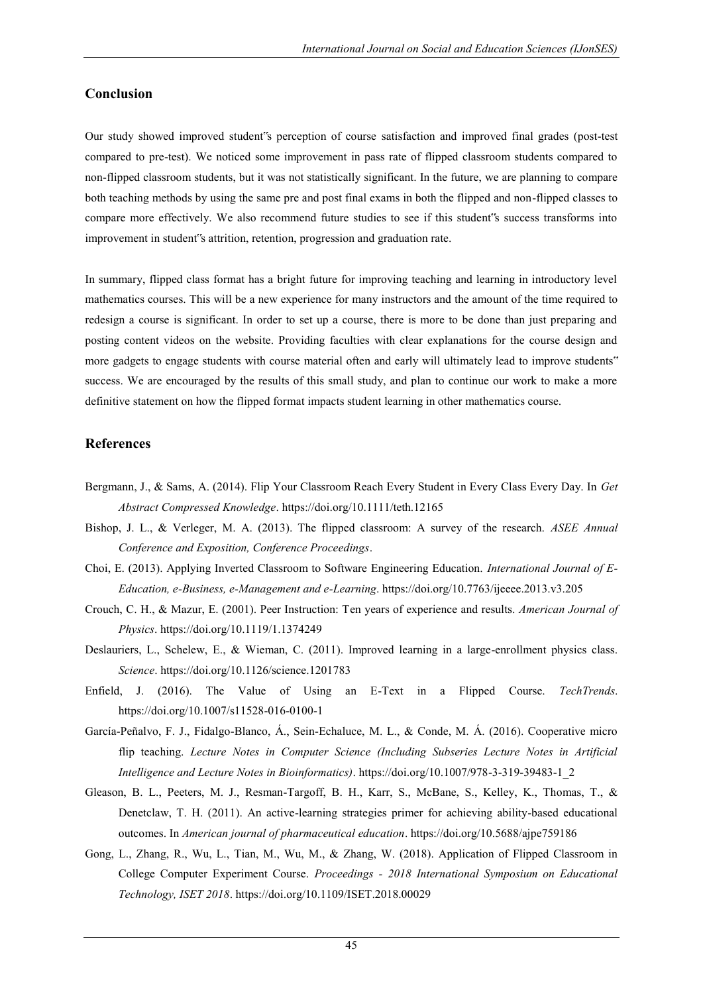# **Conclusion**

Our study showed improved student"s perception of course satisfaction and improved final grades (post-test compared to pre-test). We noticed some improvement in pass rate of flipped classroom students compared to non-flipped classroom students, but it was not statistically significant. In the future, we are planning to compare both teaching methods by using the same pre and post final exams in both the flipped and non-flipped classes to compare more effectively. We also recommend future studies to see if this student"s success transforms into improvement in student"s attrition, retention, progression and graduation rate.

In summary, flipped class format has a bright future for improving teaching and learning in introductory level mathematics courses. This will be a new experience for many instructors and the amount of the time required to redesign a course is significant. In order to set up a course, there is more to be done than just preparing and posting content videos on the website. Providing faculties with clear explanations for the course design and more gadgets to engage students with course material often and early will ultimately lead to improve students" success. We are encouraged by the results of this small study, and plan to continue our work to make a more definitive statement on how the flipped format impacts student learning in other mathematics course.

# **References**

- Bergmann, J., & Sams, A. (2014). Flip Your Classroom Reach Every Student in Every Class Every Day. In *Get Abstract Compressed Knowledge*. https://doi.org/10.1111/teth.12165
- Bishop, J. L., & Verleger, M. A. (2013). The flipped classroom: A survey of the research. *ASEE Annual Conference and Exposition, Conference Proceedings*.
- Choi, E. (2013). Applying Inverted Classroom to Software Engineering Education. *International Journal of E-Education, e-Business, e-Management and e-Learning*. https://doi.org/10.7763/ijeeee.2013.v3.205
- Crouch, C. H., & Mazur, E. (2001). Peer Instruction: Ten years of experience and results. *American Journal of Physics*. https://doi.org/10.1119/1.1374249
- Deslauriers, L., Schelew, E., & Wieman, C. (2011). Improved learning in a large-enrollment physics class. *Science*. https://doi.org/10.1126/science.1201783
- Enfield, J. (2016). The Value of Using an E-Text in a Flipped Course. *TechTrends*. https://doi.org/10.1007/s11528-016-0100-1
- García-Peñalvo, F. J., Fidalgo-Blanco, Á., Sein-Echaluce, M. L., & Conde, M. Á. (2016). Cooperative micro flip teaching. *Lecture Notes in Computer Science (Including Subseries Lecture Notes in Artificial Intelligence and Lecture Notes in Bioinformatics)*. https://doi.org/10.1007/978-3-319-39483-1\_2
- Gleason, B. L., Peeters, M. J., Resman-Targoff, B. H., Karr, S., McBane, S., Kelley, K., Thomas, T., & Denetclaw, T. H. (2011). An active-learning strategies primer for achieving ability-based educational outcomes. In *American journal of pharmaceutical education*. https://doi.org/10.5688/ajpe759186
- Gong, L., Zhang, R., Wu, L., Tian, M., Wu, M., & Zhang, W. (2018). Application of Flipped Classroom in College Computer Experiment Course. *Proceedings - 2018 International Symposium on Educational Technology, ISET 2018*. https://doi.org/10.1109/ISET.2018.00029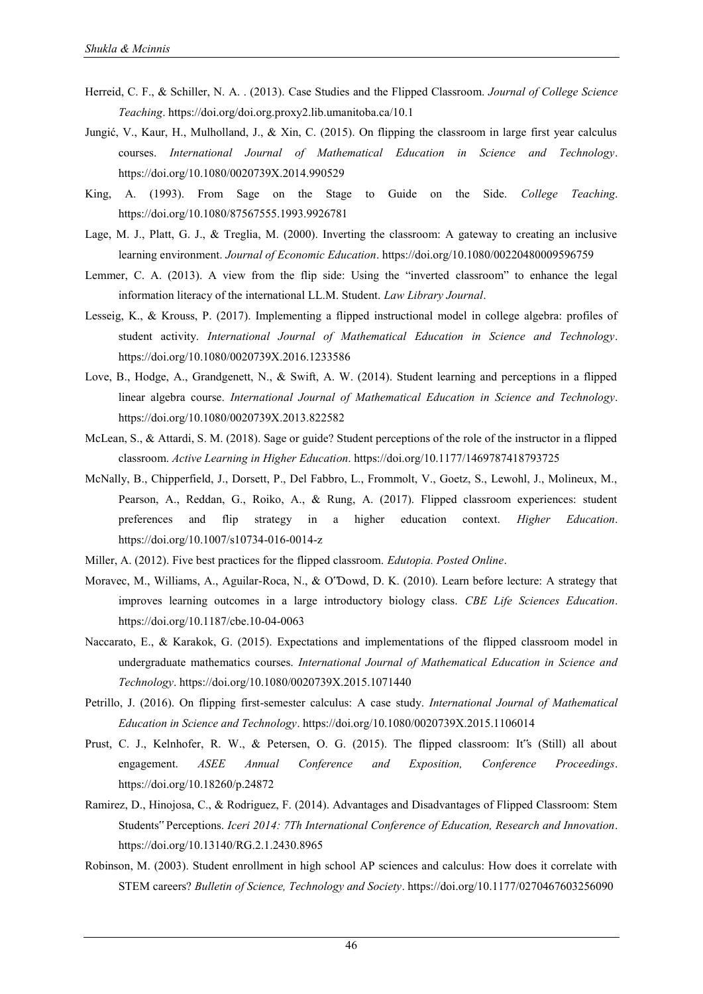- Herreid, C. F., & Schiller, N. A. . (2013). Case Studies and the Flipped Classroom. *Journal of College Science Teaching*. https://doi.org/doi.org.proxy2.lib.umanitoba.ca/10.1
- Jungić, V., Kaur, H., Mulholland, J., & Xin, C. (2015). On flipping the classroom in large first year calculus courses. *International Journal of Mathematical Education in Science and Technology*. https://doi.org/10.1080/0020739X.2014.990529
- King, A. (1993). From Sage on the Stage to Guide on the Side. *College Teaching*. https://doi.org/10.1080/87567555.1993.9926781
- Lage, M. J., Platt, G. J., & Treglia, M. (2000). Inverting the classroom: A gateway to creating an inclusive learning environment. *Journal of Economic Education*. https://doi.org/10.1080/00220480009596759
- Lemmer, C. A. (2013). A view from the flip side: Using the "inverted classroom" to enhance the legal information literacy of the international LL.M. Student. *Law Library Journal*.
- Lesseig, K., & Krouss, P. (2017). Implementing a flipped instructional model in college algebra: profiles of student activity. *International Journal of Mathematical Education in Science and Technology*. https://doi.org/10.1080/0020739X.2016.1233586
- Love, B., Hodge, A., Grandgenett, N., & Swift, A. W. (2014). Student learning and perceptions in a flipped linear algebra course. *International Journal of Mathematical Education in Science and Technology*. https://doi.org/10.1080/0020739X.2013.822582
- McLean, S., & Attardi, S. M. (2018). Sage or guide? Student perceptions of the role of the instructor in a flipped classroom. *Active Learning in Higher Education*. https://doi.org/10.1177/1469787418793725
- McNally, B., Chipperfield, J., Dorsett, P., Del Fabbro, L., Frommolt, V., Goetz, S., Lewohl, J., Molineux, M., Pearson, A., Reddan, G., Roiko, A., & Rung, A. (2017). Flipped classroom experiences: student preferences and flip strategy in a higher education context. *Higher Education*. https://doi.org/10.1007/s10734-016-0014-z
- Miller, A. (2012). Five best practices for the flipped classroom. *Edutopia. Posted Online*.
- Moravec, M., Williams, A., Aguilar-Roca, N., & O"Dowd, D. K. (2010). Learn before lecture: A strategy that improves learning outcomes in a large introductory biology class. *CBE Life Sciences Education*. https://doi.org/10.1187/cbe.10-04-0063
- Naccarato, E., & Karakok, G. (2015). Expectations and implementations of the flipped classroom model in undergraduate mathematics courses. *International Journal of Mathematical Education in Science and Technology*. https://doi.org/10.1080/0020739X.2015.1071440
- Petrillo, J. (2016). On flipping first-semester calculus: A case study. *International Journal of Mathematical Education in Science and Technology*. https://doi.org/10.1080/0020739X.2015.1106014
- Prust, C. J., Kelnhofer, R. W., & Petersen, O. G. (2015). The flipped classroom: It"s (Still) all about engagement. *ASEE Annual Conference and Exposition, Conference Proceedings*. https://doi.org/10.18260/p.24872
- Ramirez, D., Hinojosa, C., & Rodriguez, F. (2014). Advantages and Disadvantages of Flipped Classroom: Stem Students" Perceptions. *Iceri 2014: 7Th International Conference of Education, Research and Innovation*. https://doi.org/10.13140/RG.2.1.2430.8965
- Robinson, M. (2003). Student enrollment in high school AP sciences and calculus: How does it correlate with STEM careers? *Bulletin of Science, Technology and Society*. https://doi.org/10.1177/0270467603256090